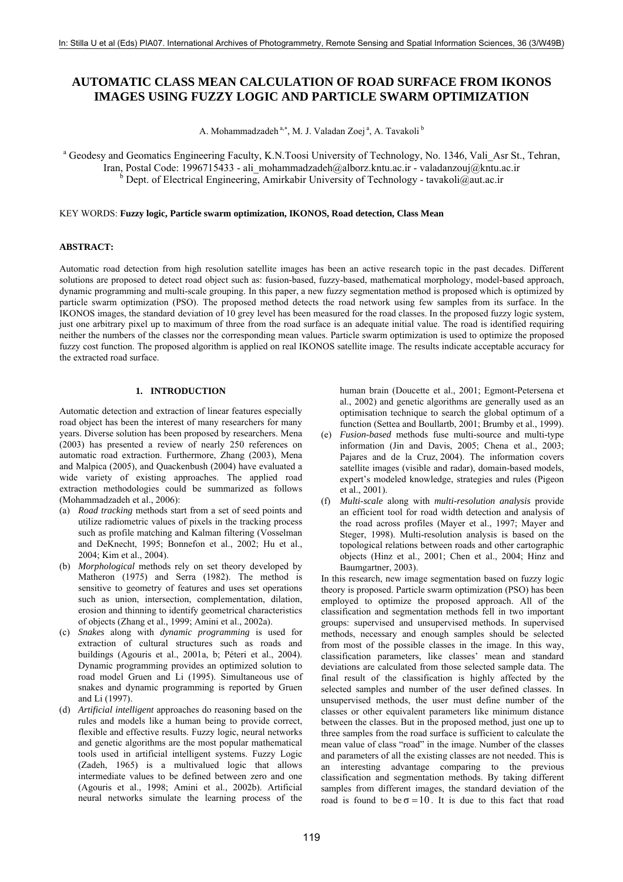# **AUTOMATIC CLASS MEAN CALCULATION OF ROAD SURFACE FROM IKONOS IMAGES USING FUZZY LOGIC AND PARTICLE SWARM OPTIMIZATION**

A. Mohammadzadeh<sup>a,\*</sup>, M. J. Valadan Zoej<sup>a</sup>, A. Tavakoli <sup>b</sup>

<sup>a</sup> Geodesy and Geomatics Engineering Faculty, K.N.Toosi University of Technology, No. 1346, Vali Asr St., Tehran, Iran, Postal Code: 1996715433 - ali\_mohammadzadeh@alborz.kntu.ac.ir - valadanzouj@kntu.ac.ir <sup>b</sup> Dept. of Electrical Engineering, Amirkabir University of Technology - tavakoli@aut.ac.ir

## KEY WORDS: **Fuzzy logic, Particle swarm optimization, IKONOS, Road detection, Class Mean**

# **ABSTRACT:**

Automatic road detection from high resolution satellite images has been an active research topic in the past decades. Different solutions are proposed to detect road object such as: fusion-based, fuzzy-based, mathematical morphology, model-based approach, dynamic programming and multi-scale grouping. In this paper, a new fuzzy segmentation method is proposed which is optimized by particle swarm optimization (PSO). The proposed method detects the road network using few samples from its surface. In the IKONOS images, the standard deviation of 10 grey level has been measured for the road classes. In the proposed fuzzy logic system, just one arbitrary pixel up to maximum of three from the road surface is an adequate initial value. The road is identified requiring neither the numbers of the classes nor the corresponding mean values. Particle swarm optimization is used to optimize the proposed fuzzy cost function. The proposed algorithm is applied on real IKONOS satellite image. The results indicate acceptable accuracy for the extracted road surface.

## **1. INTRODUCTION**

Automatic detection and extraction of linear features especially road object has been the interest of many researchers for many years. Diverse solution has been proposed by researchers. Mena (2003) has presented a review of nearly 250 references on automatic road extraction. Furthermore, Zhang (2003), Mena and Malpica (2005), and Quackenbush (2004) have evaluated a wide variety of existing approaches. The applied road extraction methodologies could be summarized as follows (Mohammadzadeh et al., 2006):

- (a) *Road tracking* methods start from a set of seed points and utilize radiometric values of pixels in the tracking process such as profile matching and Kalman filtering (Vosselman and DeKnecht, 1995; Bonnefon et al., 2002; Hu et al., 2004; Kim et al., 2004).
- (b) *Morphological* methods rely on set theory developed by Matheron (1975) and Serra (1982). The method is sensitive to geometry of features and uses set operations such as union, intersection, complementation, dilation, erosion and thinning to identify geometrical characteristics of objects (Zhang et al., 1999; Amini et al., 2002a).
- (c) *Snakes* along with *dynamic programming* is used for extraction of cultural structures such as roads and buildings (Agouris et al., 2001a, b; Péteri et al., 2004). Dynamic programming provides an optimized solution to road model Gruen and Li (1995). Simultaneous use of snakes and dynamic programming is reported by Gruen and Li (1997).
- (d) *Artificial intelligent* approaches do reasoning based on the rules and models like a human being to provide correct, flexible and effective results. Fuzzy logic, neural networks and genetic algorithms are the most popular mathematical tools used in artificial intelligent systems. Fuzzy Logic (Zadeh, 1965) is a multivalued logic that allows intermediate values to be defined between zero and one (Agouris et al., 1998; Amini et al., 2002b). Artificial neural networks simulate the learning process of the

human brain (Doucette et al., 2001; Egmont-Petersena et al., 2002) and genetic algorithms are generally used as an optimisation technique to search the global optimum of a function (Settea and Boullartb, 2001; Brumby et al., 1999).

- Fusion-based methods fuse multi-source and multi-type information (Jin and Davis, 2005; Chena et al., 2003; Pajares and de la Cruz, 2004). The information covers satellite images (visible and radar), domain-based models, expert's modeled knowledge, strategies and rules (Pigeon et al., 2001).
- (f) *Multi-scale* along with *multi-resolution analysis* provide an efficient tool for road width detection and analysis of the road across profiles (Mayer et al., 1997; Mayer and Steger, 1998). Multi-resolution analysis is based on the topological relations between roads and other cartographic objects (Hinz et al., 2001; Chen et al., 2004; Hinz and Baumgartner, 2003).

In this research, new image segmentation based on fuzzy logic theory is proposed. Particle swarm optimization (PSO) has been employed to optimize the proposed approach. All of the classification and segmentation methods fell in two important groups: supervised and unsupervised methods. In supervised methods, necessary and enough samples should be selected from most of the possible classes in the image. In this way, classification parameters, like classes' mean and standard deviations are calculated from those selected sample data. The final result of the classification is highly affected by the selected samples and number of the user defined classes. In unsupervised methods, the user must define number of the classes or other equivalent parameters like minimum distance between the classes. But in the proposed method, just one up to three samples from the road surface is sufficient to calculate the mean value of class "road" in the image. Number of the classes and parameters of all the existing classes are not needed. This is an interesting advantage comparing to the previous classification and segmentation methods. By taking different samples from different images, the standard deviation of the road is found to be  $\sigma = 10$ . It is due to this fact that road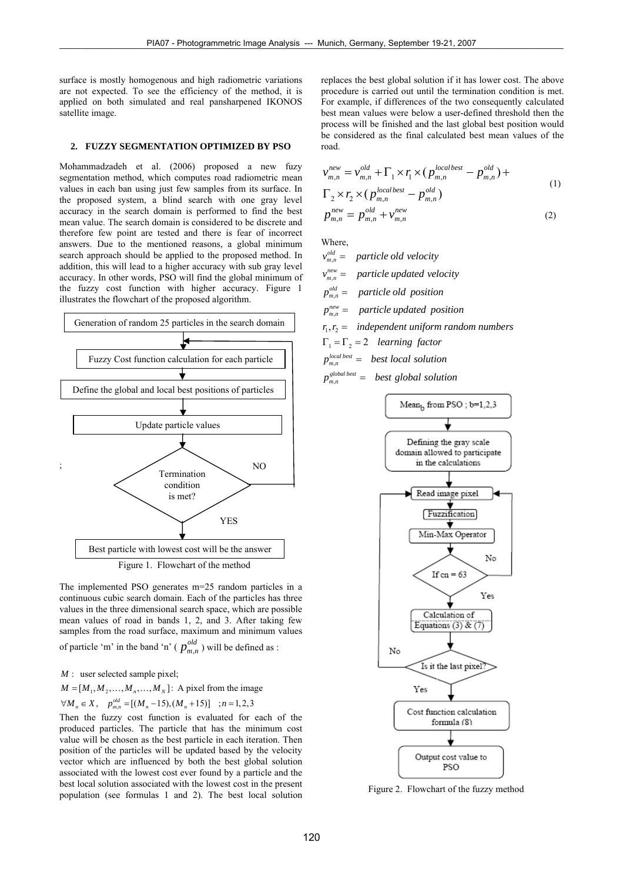surface is mostly homogenous and high radiometric variations are not expected. To see the efficiency of the method, it is applied on both simulated and real pansharpened IKONOS satellite image.

#### **2. FUZZY SEGMENTATION OPTIMIZED BY PSO**

Mohammadzadeh et al. (2006) proposed a new fuzy segmentation method, which computes road radiometric mean values in each ban using just few samples from its surface. In the proposed system, a blind search with one gray level accuracy in the search domain is performed to find the best mean value. The search domain is considered to be discrete and therefore few point are tested and there is fear of incorrect answers. Due to the mentioned reasons, a global minimum search approach should be applied to the proposed method. In addition, this will lead to a higher accuracy with sub gray level accuracy. In other words, PSO will find the global minimum of the fuzzy cost function with higher accuracy. Figure 1 illustrates the flowchart of the proposed algorithm.



The implemented PSO generates m=25 random particles in a continuous cubic search domain. Each of the particles has three values in the three dimensional search space, which are possible mean values of road in bands 1, 2, and 3. After taking few samples from the road surface, maximum and minimum values of particle 'm' in the band 'n' ( $p_{m,n}^{old}$ ) will be defined as :

: user selected sample pixel; *M*

 $M = [M_1, M_2, \dots, M_n, \dots, M_N]$ : A pixel from the image

 $\forall M_n \in X, \quad p_{m,n}^{\text{old}} = [(M_n - 15), (M_n + 15)] \quad ; n = 1,2,3$ 

Then the fuzzy cost function is evaluated for each of the produced particles. The particle that has the minimum cost value will be chosen as the best particle in each iteration. Then position of the particles will be updated based by the velocity vector which are influenced by both the best global solution associated with the lowest cost ever found by a particle and the best local solution associated with the lowest cost in the present population (see formulas 1 and 2). The best local solution replaces the best global solution if it has lower cost. The above procedure is carried out until the termination condition is met. For example, if differences of the two consequently calculated best mean values were below a user-defined threshold then the process will be finished and the last global best position would be considered as the final calculated best mean values of the road.

$$
\begin{aligned}\n v_{m,n}^{new} &= v_{m,n}^{old} + \Gamma_1 \times r_1 \times (p_{m,n}^{local best} - p_{m,n}^{old}) + \\
&\Gamma_2 \times r_2 \times (p_{m,n}^{local best} - p_{m,n}^{old}) \\
p_{m,n}^{new} &= p_{m,n}^{old} + v_{m,n}^{new}\n \end{aligned} \tag{1}
$$

Where,

 $v_{m,n}^{\text{old}} =$  particle old velocity  $v_{m,n}^{new} =$  particle updated velocity

 $p_{m,n}^{\text{old}} =$  particle old position

- $p_{m,n}^{new}$  = particle updated position
- $r_1, r_2 =$  independent uniform random numbers
- $\Gamma_1 = \Gamma_2 = 2$  *learning factor*
- $p_{m,n}^{local best} = best local solution$

$$
p_{m,n}^{global\ best} = best\ global\ solution
$$



Figure 2. Flowchart of the fuzzy method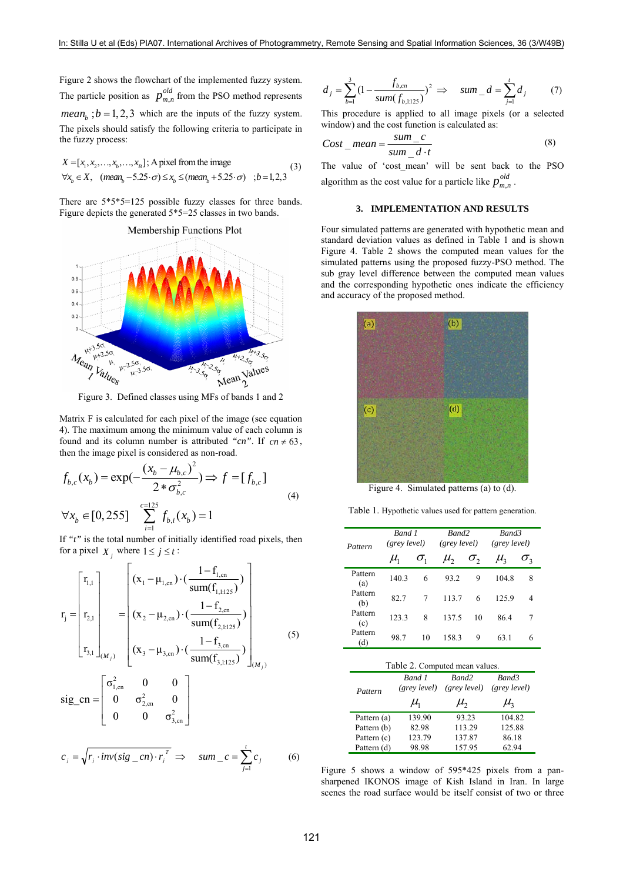Figure 2 shows the flowchart of the implemented fuzzy system. The particle position as  $p_{m,n}^{old}$  from the PSO method represents *mean*<sub>*b*</sub> ;  $b = 1, 2, 3$  which are the inputs of the fuzzy system. The pixels should satisfy the following criteria to participate in the fuzzy process:

$$
X = [x_1, x_2, \dots, x_b, \dots, x_B];
$$
 A pixel from the image  

$$
\forall x_b \in X, \quad (mean_b - 5.25 \cdot \sigma) \le x_b \le (mean_b + 5.25 \cdot \sigma) \quad ; b = 1, 2, 3
$$
 (3)

There are 5\*5\*5=125 possible fuzzy classes for three bands. Figure depicts the generated 5\*5=25 classes in two bands.



Figure 3. Defined classes using MFs of bands 1 and 2

Matrix F is calculated for each pixel of the image (see equation 4). The maximum among the minimum value of each column is found and its column number is attributed "cn". If  $cn \neq 63$ , then the image pixel is considered as non-road.

$$
f_{b,c}(x_b) = \exp(-\frac{(x_b - \mu_{b,c})^2}{2 * \sigma_{b,c}^2}) \Rightarrow f = [f_{b,c}]
$$
  

$$
\forall x_b \in [0, 255] \sum_{i=1}^{c=125} f_{b,i}(x_b) = 1
$$
 (4)

If *"t"* is the total number of initially identified road pixels, then for a pixel  $X_j$  where  $1 \le j \le t$ :

$$
\mathbf{r}_{j} = \begin{bmatrix} \mathbf{r}_{1,1} \\ \mathbf{r}_{2,1} \\ \mathbf{r}_{3,1} \end{bmatrix}_{(M_{j})} = \begin{bmatrix} (\mathbf{x}_{1} - \mu_{1,\text{cn}}) \cdot (\frac{1 - \mathbf{f}_{1,\text{cn}}}{\text{sum}(\mathbf{f}_{1,1:125})}) \\ (\mathbf{x}_{2} - \mu_{2,\text{cn}}) \cdot (\frac{1 - \mathbf{f}_{2,\text{cn}}}{\text{sum}(\mathbf{f}_{2,1:125})}) \\ (\mathbf{x}_{3} - \mu_{3,\text{cn}}) \cdot (\frac{1 - \mathbf{f}_{3,\text{cn}}}{\text{sum}(\mathbf{f}_{3,1:125})}) \end{bmatrix}_{(M_{j})}
$$
\n
$$
\text{sig\_cn} = \begin{bmatrix} \sigma_{1,\text{cn}}^{2} & 0 & 0 \\ 0 & \sigma_{2,\text{cn}}^{2} & 0 \\ 0 & 0 & \sigma_{3,\text{cn}}^{2} \end{bmatrix}
$$
\n(5)

$$
c_j = \sqrt{r_j \cdot inv(sig \_cn) \cdot r_j^T} \implies \quad sum\_c = \sum_{j=1}^r c_j \tag{6}
$$

$$
d_j = \sum_{b=1}^{3} \left(1 - \frac{f_{b,m}}{sum(f_{b,1125})}\right)^2 \implies sum_d = \sum_{j=1}^{t} d_j \tag{7}
$$

This procedure is applied to all image pixels (or a selected window) and the cost function is calculated as:

$$
Cost\_mean = \frac{sum\_c}{sum\_d \cdot t}
$$
 (8)

The value of 'cost\_mean' will be sent back to the PSO algorithm as the cost value for a particle like  $p_{m,n}^{old}$ .

# **3. IMPLEMENTATION AND RESULTS**

Four simulated patterns are generated with hypothetic mean and standard deviation values as defined in Table 1 and is shown Figure 4. Table 2 shows the computed mean values for the simulated patterns using the proposed fuzzy-PSO method. The sub gray level difference between the computed mean values and the corresponding hypothetic ones indicate the efficiency and accuracy of the proposed method.



Figure 4. Simulated patterns (a) to (d).

Table 1. Hypothetic values used for pattern generation.

| Pattern        | Band 1<br>(grey level)       |              | Rand <sub>2</sub><br>(grey level) |              | Band3<br>(grey level) |              |
|----------------|------------------------------|--------------|-----------------------------------|--------------|-----------------------|--------------|
|                | $\mu_{\scriptscriptstyle 1}$ | $\sigma_{1}$ | $\mu_{\rm{2}}$                    | $\sigma_{2}$ | $\mu_{\rm a}$         | $\sigma_{3}$ |
| Pattern<br>(a) | 140.3                        | 6            | 93.2                              | 9            | 104.8                 | 8            |
| Pattern<br>(b) | 82.7                         | 7            | 113.7                             | 6            | 125.9                 | 4            |
| Pattern<br>(c) | 123.3                        | 8            | 137.5                             | 10           | 86.4                  | 7            |
| Pattern<br>(d) | 98.7                         | 10           | 158.3                             | 9            | 63.1                  | 6            |

| Table 2. Computed mean values. |                              |                                   |                              |  |  |  |
|--------------------------------|------------------------------|-----------------------------------|------------------------------|--|--|--|
| Pattern                        | Rand 1<br>(grey level)       | Band <sub>2</sub><br>(grev level) | Band3<br>(grev level)        |  |  |  |
|                                | $\mu_{\scriptscriptstyle 1}$ | $\mu$ ,                           | $\mu_{\scriptscriptstyle 2}$ |  |  |  |
| Pattern (a)                    | 139.90                       | 93.23                             | 104.82                       |  |  |  |
| Pattern (b)                    | 82.98                        | 113.29                            | 125.88                       |  |  |  |
| Pattern (c)                    | 123.79                       | 137.87                            | 86.18                        |  |  |  |
| Pattern (d)                    | 98.98                        | 157.95                            | 62.94                        |  |  |  |

Figure 5 shows a window of 595\*425 pixels from a pansharpened IKONOS image of Kish Island in Iran. In large scenes the road surface would be itself consist of two or three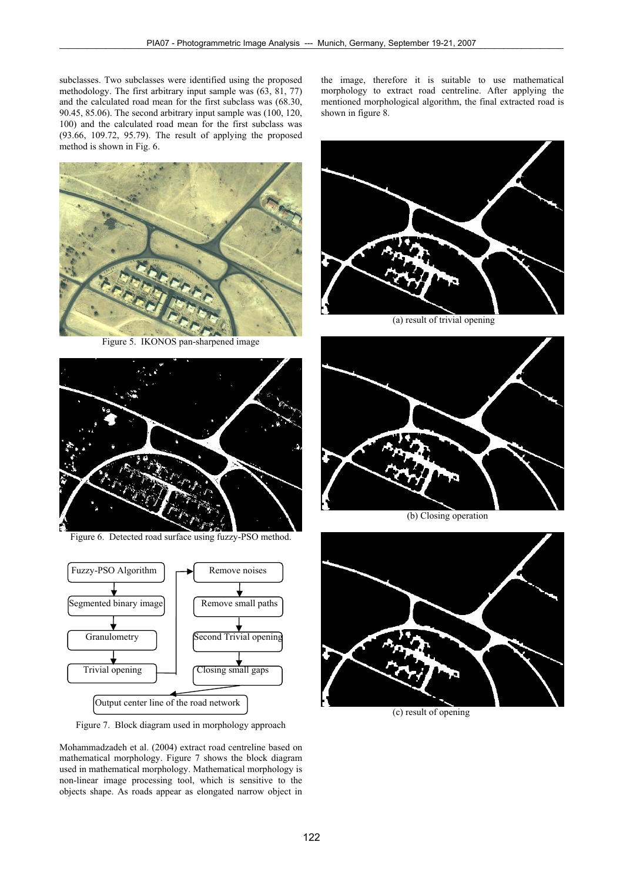subclasses. Two subclasses were identified using the proposed methodology. The first arbitrary input sample was (63, 81, 77) and the calculated road mean for the first subclass was (68.30, 90.45, 85.06). The second arbitrary input sample was (100, 120, 100) and the calculated road mean for the first subclass was (93.66, 109.72, 95.79). The result of applying the proposed method is shown in Fig. 6.



Figure 5. IKONOS pan-sharpened image



Figure 6. Detected road surface using fuzzy-PSO method.



Figure 7. Block diagram used in morphology approach

Mohammadzadeh et al. (2004) extract road centreline based on mathematical morphology. Figure 7 shows the block diagram used in mathematical morphology. Mathematical morphology is non-linear image processing tool, which is sensitive to the objects shape. As roads appear as elongated narrow object in the image, therefore it is suitable to use mathematical morphology to extract road centreline. After applying the mentioned morphological algorithm, the final extracted road is shown in figure 8.



(a) result of trivial opening



(b) Closing operation



(c) result of opening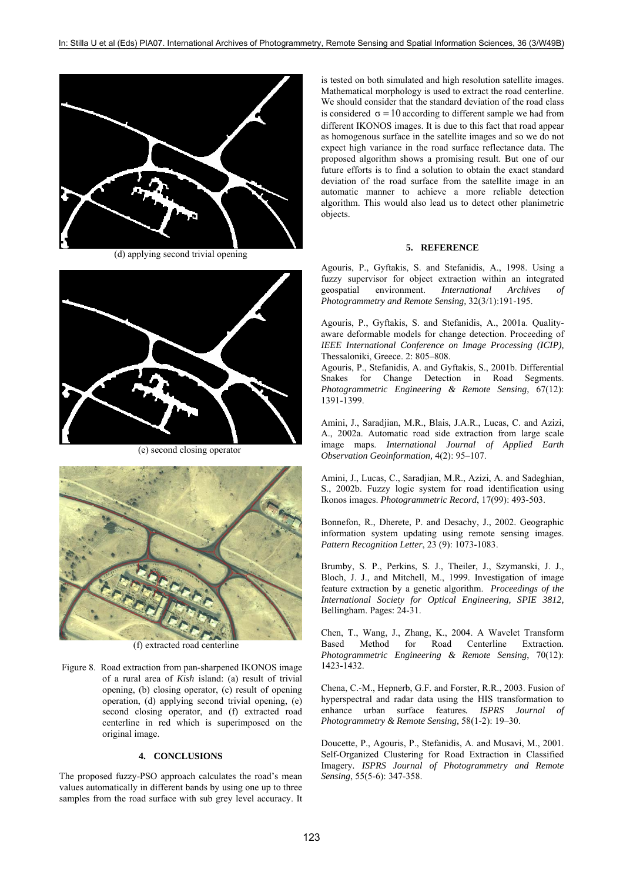

(d) applying second trivial opening



(e) second closing operator



(f) extracted road centerline

 Figure 8. Road extraction from pan-sharpened IKONOS image of a rural area of *Kish* island: (a) result of trivial opening, (b) closing operator, (c) result of opening operation, (d) applying second trivial opening, (e) second closing operator, and (f) extracted road centerline in red which is superimposed on the original image.

#### **4. CONCLUSIONS**

The proposed fuzzy-PSO approach calculates the road's mean values automatically in different bands by using one up to three samples from the road surface with sub grey level accuracy. It

is tested on both simulated and high resolution satellite images. Mathematical morphology is used to extract the road centerline. We should consider that the standard deviation of the road class is considered  $\sigma = 10$  according to different sample we had from different IKONOS images. It is due to this fact that road appear as homogenous surface in the satellite images and so we do not expect high variance in the road surface reflectance data. The proposed algorithm shows a promising result. But one of our future efforts is to find a solution to obtain the exact standard deviation of the road surface from the satellite image in an automatic manner to achieve a more reliable detection algorithm. This would also lead us to detect other planimetric objects.

# **5. REFERENCE**

Agouris, P., Gyftakis, S. and Stefanidis, A., 1998. Using a fuzzy supervisor for object extraction within an integrated geospatial environment. *International Archives Photogrammetry and Remote Sensing,* 32(3/1):191-195.

Agouris, P., Gyftakis, S. and Stefanidis, A., 2001a. Qualityaware deformable models for change detection. Proceeding of *IEEE International Conference on Image Processing (ICIP),*  Thessaloniki, Greece. 2: 805–808.

Agouris, P., Stefanidis, A. and Gyftakis, S., 2001b. Differential Snakes for Change Detection in Road Segments. *Photogrammetric Engineering & Remote Sensing,* 67(12): 1391-1399.

Amini, J., Saradjian, M.R., Blais, J.A.R., Lucas, C. and Azizi, A., 2002a. Automatic road side extraction from large scale image maps. *International Journal of Applied Earth Observation Geoinformation,* 4(2): 95–107.

Amini, J., Lucas, C., Saradjian, M.R., Azizi, A. and Sadeghian, S., 2002b. Fuzzy logic system for road identification using Ikonos images. *Photogrammetric Record*, 17(99): 493-503.

Bonnefon, R., Dherete, P. and Desachy, J., 2002. Geographic information system updating using remote sensing images. *Pattern Recognition Letter*, 23 (9): 1073-1083.

Brumby, S. P., Perkins, S. J., Theiler, J., Szymanski, J. J., Bloch, J. J., and Mitchell, M., 1999. Investigation of image feature extraction by a genetic algorithm. *Proceedings of the International Society for Optical Engineering, SPIE 3812,*  Bellingham. Pages: 24-31.

Chen, T., Wang, J., Zhang, K., 2004. A Wavelet Transform Based Method for Road Centerline Extraction*. Photogrammetric Engineering & Remote Sensing*, 70(12): 1423-1432.

Chena, C.-M., Hepnerb, G.F. and Forster, R.R., 2003. Fusion of hyperspectral and radar data using the HIS transformation to enhance urban surface features*. ISPRS Journal of Photogrammetry & Remote Sensing,* 58(1-2): 19–30.

Doucette, P., Agouris, P., Stefanidis, A. and Musavi, M., 2001. Self-Organized Clustering for Road Extraction in Classified Imagery*. ISPRS Journal of Photogrammetry and Remote Sensing*, 55(5-6): 347-358.